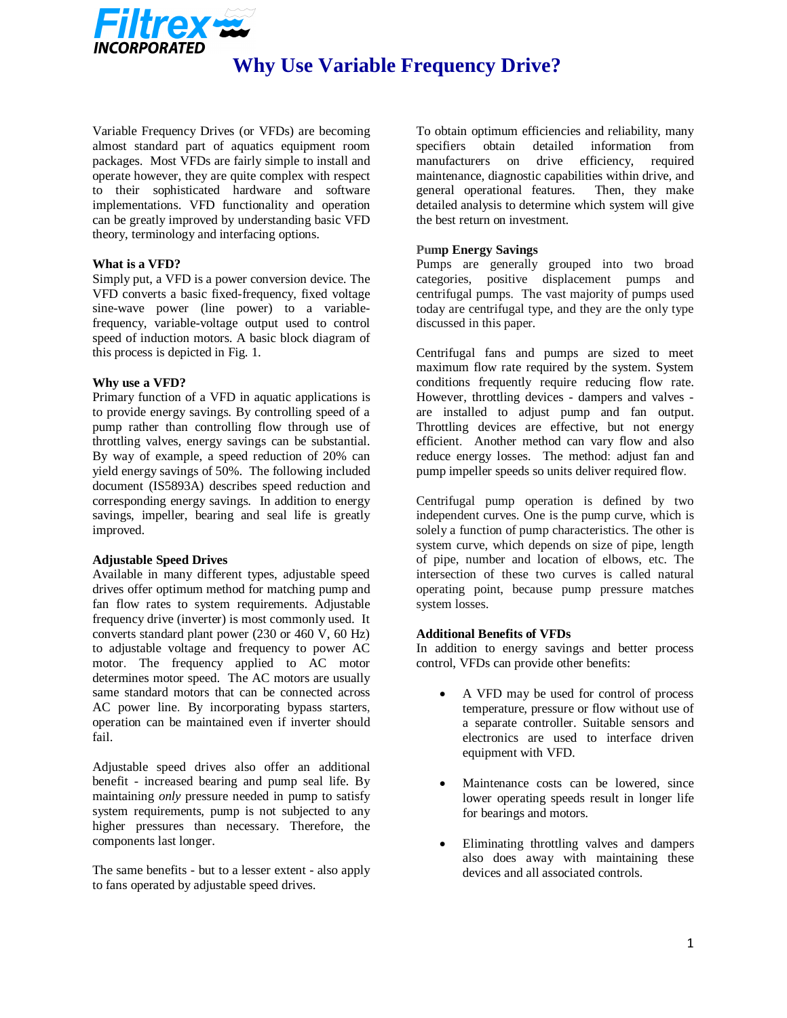

Variable Frequency Drives (or VFDs) are becoming almost standard part of aquatics equipment room packages. Most VFDs are fairly simple to install and operate however, they are quite complex with respect to their sophisticated hardware and software implementations. VFD functionality and operation can be greatly improved by understanding basic VFD theory, terminology and interfacing options.

## **What is a VFD?**

Simply put, a VFD is a power conversion device. The VFD converts a basic fixed-frequency, fixed voltage sine-wave power (line power) to a variablefrequency, variable-voltage output used to control speed of induction motors. A basic block diagram of this process is depicted in Fig. 1.

### **Why use a VFD?**

Primary function of a VFD in aquatic applications is to provide energy savings. By controlling speed of a pump rather than controlling flow through use of throttling valves, energy savings can be substantial. By way of example, a speed reduction of 20% can yield energy savings of 50%. The following included document (IS5893A) describes speed reduction and corresponding energy savings. In addition to energy savings, impeller, bearing and seal life is greatly improved.

### **Adjustable Speed Drives**

Available in many different types, adjustable speed drives offer optimum method for matching pump and fan flow rates to system requirements. Adjustable frequency drive (inverter) is most commonly used. It converts standard plant power (230 or 460 V, 60 Hz) to adjustable voltage and frequency to power AC motor. The frequency applied to AC motor determines motor speed. The AC motors are usually same standard motors that can be connected across AC power line. By incorporating bypass starters, operation can be maintained even if inverter should fail.

Adjustable speed drives also offer an additional benefit - increased bearing and pump seal life. By maintaining *only* pressure needed in pump to satisfy system requirements, pump is not subjected to any higher pressures than necessary. Therefore, the components last longer.

The same benefits - but to a lesser extent - also apply to fans operated by adjustable speed drives.

To obtain optimum efficiencies and reliability, many specifiers obtain detailed information from manufacturers on drive efficiency, required maintenance, diagnostic capabilities within drive, and general operational features. Then, they make detailed analysis to determine which system will give the best return on investment.

## **Pump Energy Savings**

Pumps are generally grouped into two broad categories, positive displacement pumps and centrifugal pumps. The vast majority of pumps used today are centrifugal type, and they are the only type discussed in this paper.

Centrifugal fans and pumps are sized to meet maximum flow rate required by the system. System conditions frequently require reducing flow rate. However, throttling devices - dampers and valves are installed to adjust pump and fan output. Throttling devices are effective, but not energy efficient. Another method can vary flow and also reduce energy losses. The method: adjust fan and pump impeller speeds so units deliver required flow.

Centrifugal pump operation is defined by two independent curves. One is the pump curve, which is solely a function of pump characteristics. The other is system curve, which depends on size of pipe, length of pipe, number and location of elbows, etc. The intersection of these two curves is called natural operating point, because pump pressure matches system losses.

## **Additional Benefits of VFDs**

In addition to energy savings and better process control, VFDs can provide other benefits:

- A VFD may be used for control of process temperature, pressure or flow without use of a separate controller. Suitable sensors and electronics are used to interface driven equipment with VFD.
- Maintenance costs can be lowered, since lower operating speeds result in longer life for bearings and motors.
- Eliminating throttling valves and dampers also does away with maintaining these devices and all associated controls.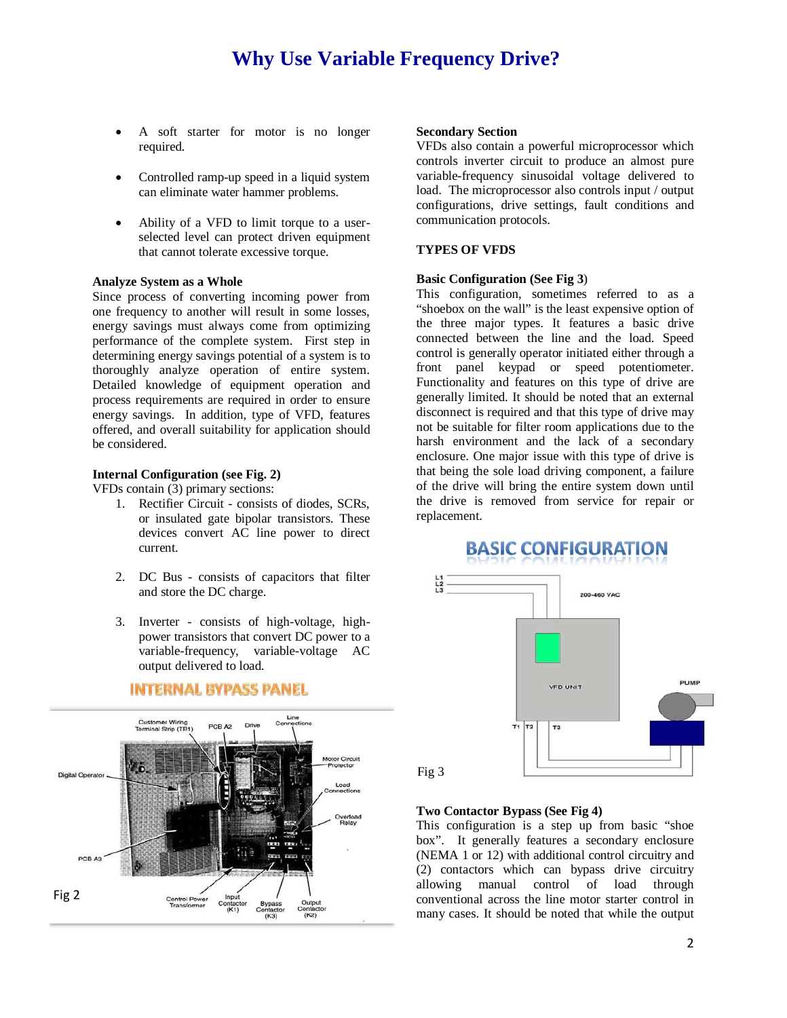- A soft starter for motor is no longer required.
- Controlled ramp-up speed in a liquid system can eliminate water hammer problems.
- Ability of a VFD to limit torque to a userselected level can protect driven equipment that cannot tolerate excessive torque.

### **Analyze System as a Whole**

Since process of converting incoming power from one frequency to another will result in some losses, energy savings must always come from optimizing performance of the complete system. First step in determining energy savings potential of a system is to thoroughly analyze operation of entire system. Detailed knowledge of equipment operation and process requirements are required in order to ensure energy savings. In addition, type of VFD, features offered, and overall suitability for application should be considered.

## **Internal Configuration (see Fig. 2)**

VFDs contain  $(3)$  primary sections:

- 1. Rectifier Circuit consists of diodes, SCRs, or insulated gate bipolar transistors. These devices convert AC line power to direct current.
- 2. DC Bus consists of capacitors that filter and store the DC charge.
- 3. Inverter consists of high-voltage, highpower transistors that convert DC power to a variable-frequency, variable-voltage AC output delivered to load.



## **INTERNAL BYPASS PANEL**

#### **Secondary Section**

VFDs also contain a powerful microprocessor which controls inverter circuit to produce an almost pure variable-frequency sinusoidal voltage delivered to load. The microprocessor also controls input / output configurations, drive settings, fault conditions and communication protocols.

#### **TYPES OF VFDS**

### **Basic Configuration (See Fig 3**)

This configuration, sometimes referred to as a "shoebox on the wall" is the least expensive option of the three major types. It features a basic drive connected between the line and the load. Speed control is generally operator initiated either through a front panel keypad or speed potentiometer. Functionality and features on this type of drive are generally limited. It should be noted that an external disconnect is required and that this type of drive may not be suitable for filter room applications due to the harsh environment and the lack of a secondary enclosure. One major issue with this type of drive is that being the sole load driving component, a failure of the drive will bring the entire system down until the drive is removed from service for repair or replacement.



**BASIC CONFIGURATION** 

## **Two Contactor Bypass (See Fig 4)**

This configuration is a step up from basic "shoe box". It generally features a secondary enclosure (NEMA 1 or 12) with additional control circuitry and (2) contactors which can bypass drive circuitry allowing manual control of load through conventional across the line motor starter control in many cases. It should be noted that while the output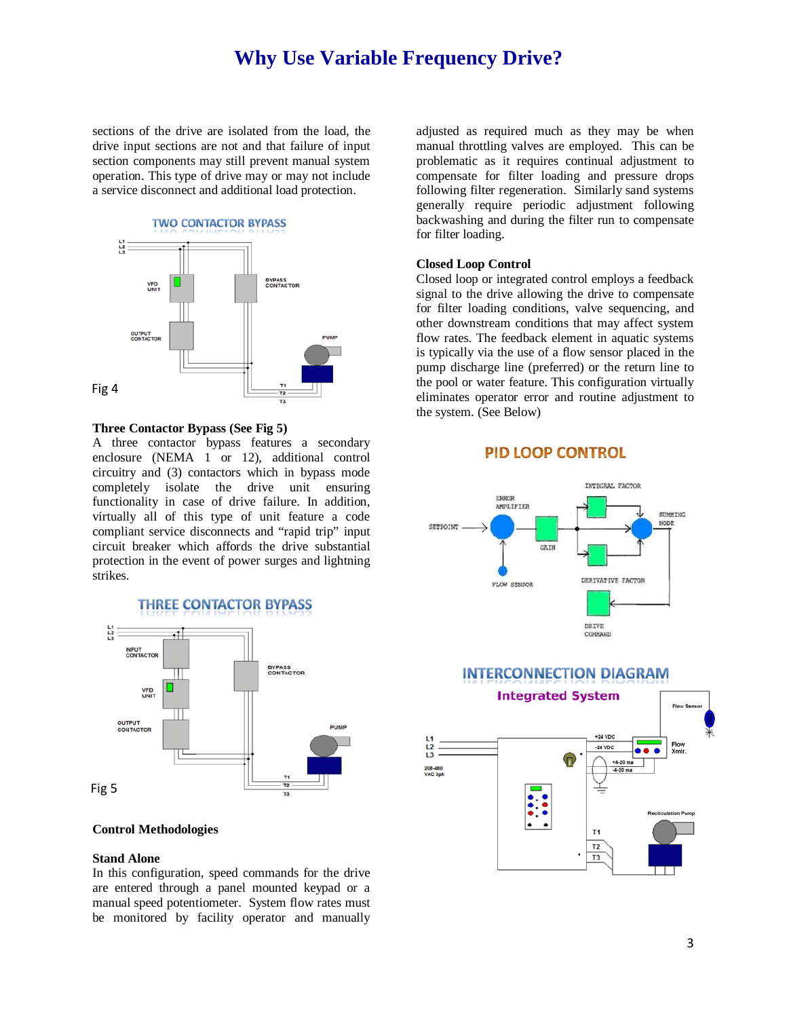sections of the drive are isolated from the load, the drive input sections are not and that failure of input section components may still prevent manual system operation. This type of drive may or may not include a service disconnect and additional load protection.



#### **Three Contactor Bypass (See Fig 5)**

A three contactor bypass features a secondary enclosure (NEMA 1 or 12), additional control circuitry and (3) contactors which in bypass mode completely isolate the drive unit ensuring functionality in case of drive failure. In addition, virtually all of this type of unit feature a code compliant service disconnects and "rapid trip" input circuit breaker which affords the drive substantial protection in the event of power surges and lightning strikes.

## **THREE CONTACTOR BYPASS**



## **Control Methodologies**

#### **Stand Alone**

In this configuration, speed commands for the drive are entered through a panel mounted keypad or a manual speed potentiometer. System flow rates must be monitored by facility operator and manually

adjusted as required much as they may be when manual throttling valves are employed. This can be problematic as it requires continual adjustment to compensate for filter loading and pressure drops following filter regeneration. Similarly sand systems generally require periodic adjustment following backwashing and during the filter run to compensate for filter loading.

#### **Closed Loop Control**

Closed loop or integrated control employs a feedback signal to the drive allowing the drive to compensate for filter loading conditions, valve sequencing, and other downstream conditions that may affect system flow rates. The feedback element in aquatic systems is typically via the use of a flow sensor placed in the pump discharge line (preferred) or the return line to the pool or water feature. This configuration virtually eliminates operator error and routine adjustment to the system. (See Below)





## **INTERCONNECTION DIAGRAM**

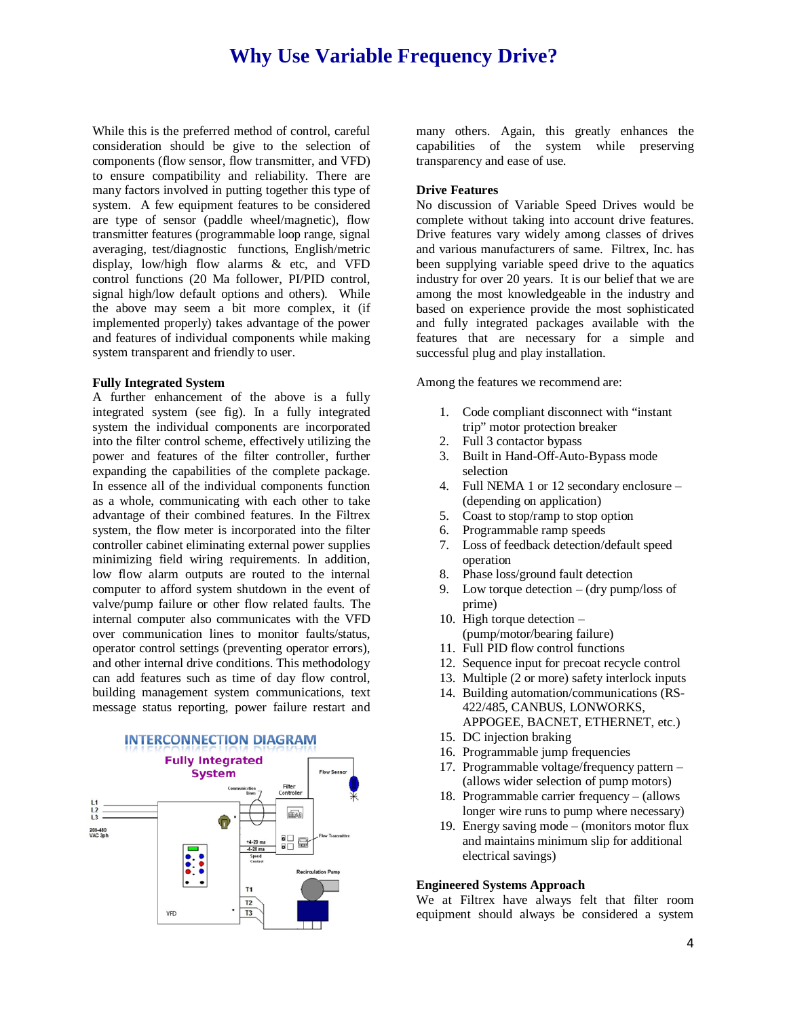While this is the preferred method of control, careful consideration should be give to the selection of components (flow sensor, flow transmitter, and VFD) to ensure compatibility and reliability. There are many factors involved in putting together this type of system. A few equipment features to be considered are type of sensor (paddle wheel/magnetic), flow transmitter features (programmable loop range, signal averaging, test/diagnostic functions, English/metric display, low/high flow alarms & etc, and VFD control functions (20 Ma follower, PI/PID control, signal high/low default options and others). While the above may seem a bit more complex, it (if implemented properly) takes advantage of the power and features of individual components while making system transparent and friendly to user.

#### **Fully Integrated System**

A further enhancement of the above is a fully integrated system (see fig). In a fully integrated system the individual components are incorporated into the filter control scheme, effectively utilizing the power and features of the filter controller, further expanding the capabilities of the complete package. In essence all of the individual components function as a whole, communicating with each other to take advantage of their combined features. In the Filtrex system, the flow meter is incorporated into the filter controller cabinet eliminating external power supplies minimizing field wiring requirements. In addition, low flow alarm outputs are routed to the internal computer to afford system shutdown in the event of valve/pump failure or other flow related faults. The internal computer also communicates with the VFD over communication lines to monitor faults/status, operator control settings (preventing operator errors), and other internal drive conditions. This methodology can add features such as time of day flow control, building management system communications, text message status reporting, power failure restart and



many others. Again, this greatly enhances the capabilities of the system while preserving transparency and ease of use.

## **Drive Features**

No discussion of Variable Speed Drives would be complete without taking into account drive features. Drive features vary widely among classes of drives and various manufacturers of same. Filtrex, Inc. has been supplying variable speed drive to the aquatics industry for over 20 years. It is our belief that we are among the most knowledgeable in the industry and based on experience provide the most sophisticated and fully integrated packages available with the features that are necessary for a simple and successful plug and play installation.

Among the features we recommend are:

- 1. Code compliant disconnect with "instant trip" motor protection breaker
- 2. Full 3 contactor bypass
- 3. Built in Hand-Off-Auto-Bypass mode selection
- 4. Full NEMA 1 or 12 secondary enclosure (depending on application)
- 5. Coast to stop/ramp to stop option
- 6. Programmable ramp speeds
- 7. Loss of feedback detection/default speed operation
- 8. Phase loss/ground fault detection
- 9. Low torque detection (dry pump/loss of prime)
- 10. High torque detection (pump/motor/bearing failure)
- 11. Full PID flow control functions
- 12. Sequence input for precoat recycle control
- 13. Multiple (2 or more) safety interlock inputs
- 14. Building automation/communications (RS-422/485, CANBUS, LONWORKS,
- APPOGEE, BACNET, ETHERNET, etc.) 15. DC injection braking
- 16. Programmable jump frequencies
- 17. Programmable voltage/frequency pattern (allows wider selection of pump motors)
- 18. Programmable carrier frequency (allows longer wire runs to pump where necessary)
- 19. Energy saving mode (monitors motor flux and maintains minimum slip for additional electrical savings)

#### **Engineered Systems Approach**

We at Filtrex have always felt that filter room equipment should always be considered a system